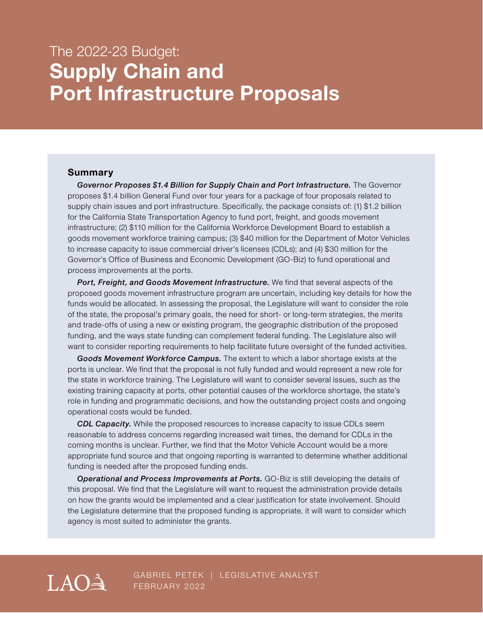# The 2022-23 Budget: **Supply Chain and Port Infrastructure Proposals**

#### **Summary**

*Governor Proposes \$1.4 Billion for Supply Chain and Port Infrastructure.* The Governor proposes \$1.4 billion General Fund over four years for a package of four proposals related to supply chain issues and port infrastructure. Specifically, the package consists of: (1) \$1.2 billion for the California State Transportation Agency to fund port, freight, and goods movement infrastructure; (2) \$110 million for the California Workforce Development Board to establish a goods movement workforce training campus; (3) \$40 million for the Department of Motor Vehicles to increase capacity to issue commercial driver's licenses (CDLs); and (4) \$30 million for the Governor's Office of Business and Economic Development (GO-Biz) to fund operational and process improvements at the ports.

**Port, Freight, and Goods Movement Infrastructure.** We find that several aspects of the proposed goods movement infrastructure program are uncertain, including key details for how the funds would be allocated. In assessing the proposal, the Legislature will want to consider the role of the state, the proposal's primary goals, the need for short- or long-term strategies, the merits and trade-offs of using a new or existing program, the geographic distribution of the proposed funding, and the ways state funding can complement federal funding. The Legislature also will want to consider reporting requirements to help facilitate future oversight of the funded activities.

*Goods Movement Workforce Campus.* The extent to which a labor shortage exists at the ports is unclear. We find that the proposal is not fully funded and would represent a new role for the state in workforce training. The Legislature will want to consider several issues, such as the existing training capacity at ports, other potential causes of the workforce shortage, the state's role in funding and programmatic decisions, and how the outstanding project costs and ongoing operational costs would be funded.

*CDL Capacity.* While the proposed resources to increase capacity to issue CDLs seem reasonable to address concerns regarding increased wait times, the demand for CDLs in the coming months is unclear. Further, we find that the Motor Vehicle Account would be a more appropriate fund source and that ongoing reporting is warranted to determine whether additional funding is needed after the proposed funding ends.

*Operational and Process Improvements at Ports.* GO-Biz is still developing the details of this proposal. We find that the Legislature will want to request the administration provide details on how the grants would be implemented and a clear justification for state involvement. Should the Legislature determine that the proposed funding is appropriate, it will want to consider which agency is most suited to administer the grants.



GABRIEL PETEK | LEGISLATIVE ANALYST FEBRUARY 2022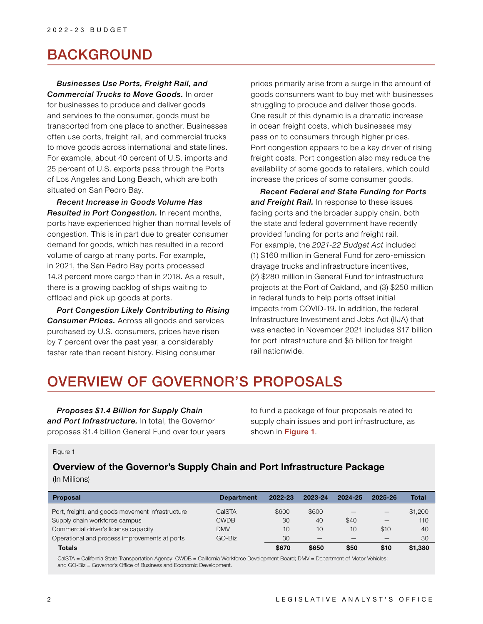## BACKGROUND

### *Businesses Use Ports, Freight Rail, and*

*Commercial Trucks to Move Goods.* In order for businesses to produce and deliver goods and services to the consumer, goods must be transported from one place to another. Businesses often use ports, freight rail, and commercial trucks to move goods across international and state lines. For example, about 40 percent of U.S. imports and 25 percent of U.S. exports pass through the Ports of Los Angeles and Long Beach, which are both situated on San Pedro Bay.

*Recent Increase in Goods Volume Has Resulted in Port Congestion.* In recent months, ports have experienced higher than normal levels of congestion. This is in part due to greater consumer demand for goods, which has resulted in a record volume of cargo at many ports. For example, in 2021, the San Pedro Bay ports processed 14.3 percent more cargo than in 2018. As a result, there is a growing backlog of ships waiting to offload and pick up goods at ports.

*Port Congestion Likely Contributing to Rising Consumer Prices.* Across all goods and services purchased by U.S. consumers, prices have risen by 7 percent over the past year, a considerably faster rate than recent history. Rising consumer

prices primarily arise from a surge in the amount of goods consumers want to buy met with businesses struggling to produce and deliver those goods. One result of this dynamic is a dramatic increase in ocean freight costs, which businesses may pass on to consumers through higher prices. Port congestion appears to be a key driver of rising freight costs. Port congestion also may reduce the availability of some goods to retailers, which could increase the prices of some consumer goods.

*Recent Federal and State Funding for Ports and Freight Rail.* In response to these issues facing ports and the broader supply chain, both the state and federal government have recently provided funding for ports and freight rail. For example, the *2021-22 Budget Act* included (1) \$160 million in General Fund for zero-emission drayage trucks and infrastructure incentives, (2) \$280 million in General Fund for infrastructure projects at the Port of Oakland, and (3) \$250 million in federal funds to help ports offset initial impacts from COVID-19. In addition, the federal Infrastructure Investment and Jobs Act (IIJA) that was enacted in November 2021 includes \$17 billion for port infrastructure and \$5 billion for freight rail nationwide.

# OVERVIEW OF GOVERNOR'S PROPOSALS

*Proposes \$1.4 Billion for Supply Chain and Port Infrastructure.* In total, the Governor proposes \$1.4 billion General Fund over four years to fund a package of four proposals related to supply chain issues and port infrastructure, as shown in Figure 1.

Figure 1

### **Overview of the Governor's Supply Chain and Port Infrastructure Package**

(In Millions)

| <b>Proposal</b>                                  | <b>Department</b> | 2022-23 | 2023-24 | 2024-25 | 2025-26 | Total   |
|--------------------------------------------------|-------------------|---------|---------|---------|---------|---------|
| Port, freight, and goods movement infrastructure | CalSTA            | \$600   | \$600   |         |         | \$1,200 |
| Supply chain workforce campus                    | <b>CWDB</b>       | 30      | 40      | \$40    | –       | 110     |
| Commercial driver's license capacity             | <b>DMV</b>        | 10      | 10      | 10      | \$10    | 40      |
| Operational and process improvements at ports    | GO-Biz            | 30      |         |         |         | 30      |
| <b>Totals</b>                                    |                   | \$670   | \$650   | \$50    | \$10    | \$1,380 |

CalSTA = California State Transportation Agency; CWDB = California Workforce Development Board; DMV = Department of Motor Vehicles; and GO-Biz = Governor's Office of Business and Economic Development.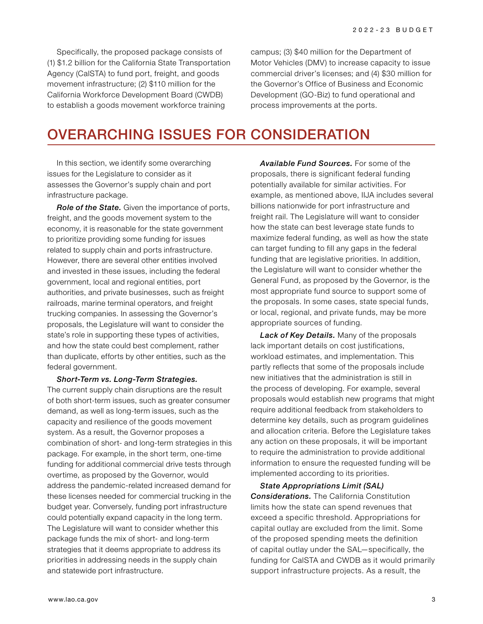Specifically, the proposed package consists of (1) \$1.2 billion for the California State Transportation Agency (CalSTA) to fund port, freight, and goods movement infrastructure; (2) \$110 million for the California Workforce Development Board (CWDB) to establish a goods movement workforce training

campus; (3) \$40 million for the Department of Motor Vehicles (DMV) to increase capacity to issue commercial driver's licenses; and (4) \$30 million for the Governor's Office of Business and Economic Development (GO-Biz) to fund operational and process improvements at the ports.

# OVERARCHING ISSUES FOR CONSIDERATION

In this section, we identify some overarching issues for the Legislature to consider as it assesses the Governor's supply chain and port infrastructure package.

*Role of the State.* Given the importance of ports, freight, and the goods movement system to the economy, it is reasonable for the state government to prioritize providing some funding for issues related to supply chain and ports infrastructure. However, there are several other entities involved and invested in these issues, including the federal government, local and regional entities, port authorities, and private businesses, such as freight railroads, marine terminal operators, and freight trucking companies. In assessing the Governor's proposals, the Legislature will want to consider the state's role in supporting these types of activities, and how the state could best complement, rather than duplicate, efforts by other entities, such as the federal government.

*Short-Term vs. Long-Term Strategies.* 

The current supply chain disruptions are the result of both short-term issues, such as greater consumer demand, as well as long-term issues, such as the capacity and resilience of the goods movement system. As a result, the Governor proposes a combination of short- and long-term strategies in this package. For example, in the short term, one-time funding for additional commercial drive tests through overtime, as proposed by the Governor, would address the pandemic-related increased demand for these licenses needed for commercial trucking in the budget year. Conversely, funding port infrastructure could potentially expand capacity in the long term. The Legislature will want to consider whether this package funds the mix of short- and long-term strategies that it deems appropriate to address its priorities in addressing needs in the supply chain and statewide port infrastructure.

*Available Fund Sources.* For some of the proposals, there is significant federal funding potentially available for similar activities. For example, as mentioned above, IIJA includes several billions nationwide for port infrastructure and freight rail. The Legislature will want to consider how the state can best leverage state funds to maximize federal funding, as well as how the state can target funding to fill any gaps in the federal funding that are legislative priorities. In addition, the Legislature will want to consider whether the General Fund, as proposed by the Governor, is the most appropriate fund source to support some of the proposals. In some cases, state special funds, or local, regional, and private funds, may be more appropriate sources of funding.

*Lack of Key Details.* Many of the proposals lack important details on cost justifications, workload estimates, and implementation. This partly reflects that some of the proposals include new initiatives that the administration is still in the process of developing. For example, several proposals would establish new programs that might require additional feedback from stakeholders to determine key details, such as program guidelines and allocation criteria. Before the Legislature takes any action on these proposals, it will be important to require the administration to provide additional information to ensure the requested funding will be implemented according to its priorities.

*State Appropriations Limit (SAL) Considerations.* The California Constitution limits how the state can spend revenues that exceed a specific threshold. Appropriations for capital outlay are excluded from the limit. Some of the proposed spending meets the definition of capital outlay under the SAL—specifically, the funding for CalSTA and CWDB as it would primarily support infrastructure projects. As a result, the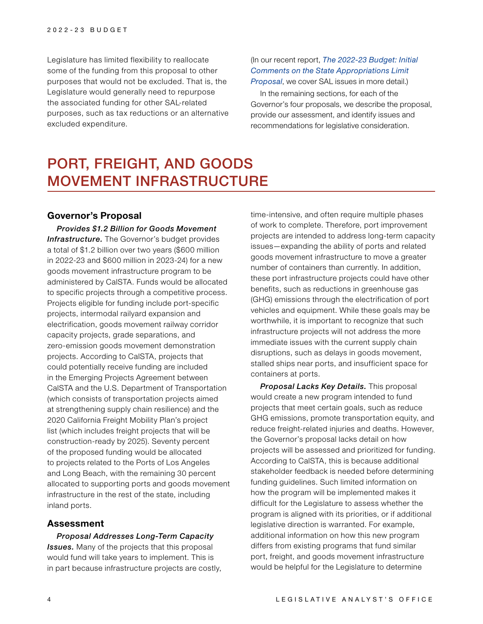Legislature has limited flexibility to reallocate some of the funding from this proposal to other purposes that would not be excluded. That is, the Legislature would generally need to repurpose the associated funding for other SAL-related purposes, such as tax reductions or an alternative excluded expenditure.

### (In our recent report, *[The 2022-23 Budget: Initial](https://lao.ca.gov/Publications/Report/4515)  [Comments on the State Appropriations Limit](https://lao.ca.gov/Publications/Report/4515)  [Proposal](https://lao.ca.gov/Publications/Report/4515)*, we cover SAL issues in more detail.)

In the remaining sections, for each of the Governor's four proposals, we describe the proposal, provide our assessment, and identify issues and recommendations for legislative consideration.

# PORT, FREIGHT, AND GOODS MOVEMENT INFRASTRUCTURE

#### **Governor's Proposal**

*Provides \$1.2 Billion for Goods Movement*  **Infrastructure.** The Governor's budget provides a total of \$1.2 billion over two years (\$600 million in 2022-23 and \$600 million in 2023-24) for a new goods movement infrastructure program to be administered by CalSTA. Funds would be allocated to specific projects through a competitive process. Projects eligible for funding include port-specific projects, intermodal railyard expansion and electrification, goods movement railway corridor capacity projects, grade separations, and zero-emission goods movement demonstration projects. According to CalSTA, projects that could potentially receive funding are included in the Emerging Projects Agreement between CalSTA and the U.S. Department of Transportation (which consists of transportation projects aimed at strengthening supply chain resilience) and the 2020 California Freight Mobility Plan's project list (which includes freight projects that will be construction-ready by 2025). Seventy percent of the proposed funding would be allocated to projects related to the Ports of Los Angeles and Long Beach, with the remaining 30 percent allocated to supporting ports and goods movement infrastructure in the rest of the state, including inland ports.

#### **Assessment**

*Proposal Addresses Long-Term Capacity Issues.* Many of the projects that this proposal would fund will take years to implement. This is in part because infrastructure projects are costly,

time-intensive, and often require multiple phases of work to complete. Therefore, port improvement projects are intended to address long-term capacity issues—expanding the ability of ports and related goods movement infrastructure to move a greater number of containers than currently. In addition, these port infrastructure projects could have other benefits, such as reductions in greenhouse gas (GHG) emissions through the electrification of port vehicles and equipment. While these goals may be worthwhile, it is important to recognize that such infrastructure projects will not address the more immediate issues with the current supply chain disruptions, such as delays in goods movement, stalled ships near ports, and insufficient space for containers at ports.

*Proposal Lacks Key Details.* This proposal would create a new program intended to fund projects that meet certain goals, such as reduce GHG emissions, promote transportation equity, and reduce freight-related injuries and deaths. However, the Governor's proposal lacks detail on how projects will be assessed and prioritized for funding. According to CalSTA, this is because additional stakeholder feedback is needed before determining funding guidelines. Such limited information on how the program will be implemented makes it difficult for the Legislature to assess whether the program is aligned with its priorities, or if additional legislative direction is warranted. For example, additional information on how this new program differs from existing programs that fund similar port, freight, and goods movement infrastructure would be helpful for the Legislature to determine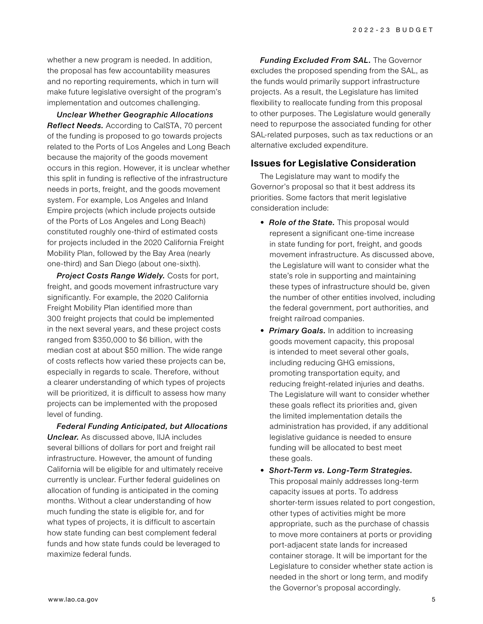whether a new program is needed. In addition, the proposal has few accountability measures and no reporting requirements, which in turn will make future legislative oversight of the program's implementation and outcomes challenging.

*Unclear Whether Geographic Allocations Reflect Needs.* According to CalSTA, 70 percent of the funding is proposed to go towards projects related to the Ports of Los Angeles and Long Beach because the majority of the goods movement occurs in this region. However, it is unclear whether this split in funding is reflective of the infrastructure needs in ports, freight, and the goods movement system. For example, Los Angeles and Inland Empire projects (which include projects outside of the Ports of Los Angeles and Long Beach) constituted roughly one-third of estimated costs for projects included in the 2020 California Freight Mobility Plan, followed by the Bay Area (nearly one-third) and San Diego (about one-sixth).

*Project Costs Range Widely.* Costs for port, freight, and goods movement infrastructure vary significantly. For example, the 2020 California Freight Mobility Plan identified more than 300 freight projects that could be implemented in the next several years, and these project costs ranged from \$350,000 to \$6 billion, with the median cost at about \$50 million. The wide range of costs reflects how varied these projects can be, especially in regards to scale. Therefore, without a clearer understanding of which types of projects will be prioritized, it is difficult to assess how many projects can be implemented with the proposed level of funding.

*Federal Funding Anticipated, but Allocations Unclear.* As discussed above, IIJA includes several billions of dollars for port and freight rail infrastructure. However, the amount of funding California will be eligible for and ultimately receive currently is unclear. Further federal guidelines on allocation of funding is anticipated in the coming months. Without a clear understanding of how much funding the state is eligible for, and for what types of projects, it is difficult to ascertain how state funding can best complement federal funds and how state funds could be leveraged to maximize federal funds.

*Funding Excluded From SAL.* The Governor excludes the proposed spending from the SAL, as the funds would primarily support infrastructure projects. As a result, the Legislature has limited flexibility to reallocate funding from this proposal to other purposes. The Legislature would generally need to repurpose the associated funding for other SAL-related purposes, such as tax reductions or an alternative excluded expenditure.

### **Issues for Legislative Consideration**

The Legislature may want to modify the Governor's proposal so that it best address its priorities. Some factors that merit legislative consideration include:

- *Role of the State.* This proposal would represent a significant one-time increase in state funding for port, freight, and goods movement infrastructure. As discussed above, the Legislature will want to consider what the state's role in supporting and maintaining these types of infrastructure should be, given the number of other entities involved, including the federal government, port authorities, and freight railroad companies.
- *Primary Goals.* In addition to increasing goods movement capacity, this proposal is intended to meet several other goals, including reducing GHG emissions, promoting transportation equity, and reducing freight-related injuries and deaths. The Legislature will want to consider whether these goals reflect its priorities and, given the limited implementation details the administration has provided, if any additional legislative guidance is needed to ensure funding will be allocated to best meet these goals.
- *Short-Term vs. Long-Term Strategies.*  This proposal mainly addresses long-term capacity issues at ports. To address shorter-term issues related to port congestion, other types of activities might be more appropriate, such as the purchase of chassis to move more containers at ports or providing port-adjacent state lands for increased container storage. It will be important for the Legislature to consider whether state action is needed in the short or long term, and modify the Governor's proposal accordingly.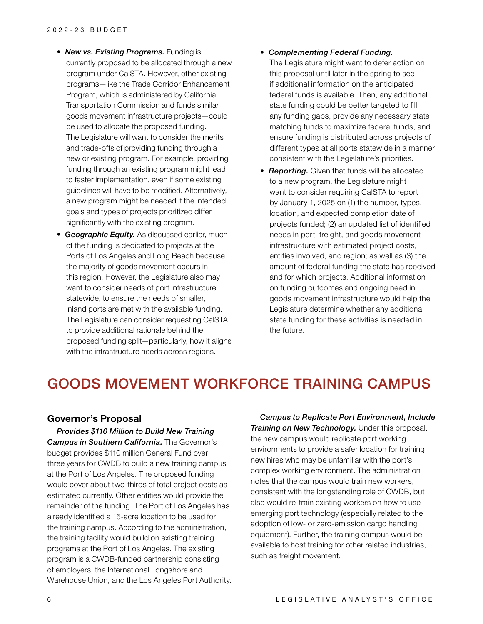- **New vs. Existing Programs.** Funding is currently proposed to be allocated through a new program under CalSTA. However, other existing programs—like the Trade Corridor Enhancement Program, which is administered by California Transportation Commission and funds similar goods movement infrastructure projects—could be used to allocate the proposed funding. The Legislature will want to consider the merits and trade-offs of providing funding through a new or existing program. For example, providing funding through an existing program might lead to faster implementation, even if some existing guidelines will have to be modified. Alternatively, a new program might be needed if the intended goals and types of projects prioritized differ significantly with the existing program.
- *Geographic Equity.* As discussed earlier, much of the funding is dedicated to projects at the Ports of Los Angeles and Long Beach because the majority of goods movement occurs in this region. However, the Legislature also may want to consider needs of port infrastructure statewide, to ensure the needs of smaller, inland ports are met with the available funding. The Legislature can consider requesting CalSTA to provide additional rationale behind the proposed funding split—particularly, how it aligns with the infrastructure needs across regions.

#### • *Complementing Federal Funding.*

The Legislature might want to defer action on this proposal until later in the spring to see if additional information on the anticipated federal funds is available. Then, any additional state funding could be better targeted to fill any funding gaps, provide any necessary state matching funds to maximize federal funds, and ensure funding is distributed across projects of different types at all ports statewide in a manner consistent with the Legislature's priorities.

• *Reporting.* Given that funds will be allocated to a new program, the Legislature might want to consider requiring CalSTA to report by January 1, 2025 on (1) the number, types, location, and expected completion date of projects funded; (2) an updated list of identified needs in port, freight, and goods movement infrastructure with estimated project costs, entities involved, and region; as well as (3) the amount of federal funding the state has received and for which projects. Additional information on funding outcomes and ongoing need in goods movement infrastructure would help the Legislature determine whether any additional state funding for these activities is needed in the future.

## GOODS MOVEMENT WORKFORCE TRAINING CAMPUS

#### **Governor's Proposal**

*Provides \$110 Million to Build New Training Campus in Southern California.* The Governor's budget provides \$110 million General Fund over three years for CWDB to build a new training campus at the Port of Los Angeles. The proposed funding would cover about two-thirds of total project costs as estimated currently. Other entities would provide the remainder of the funding. The Port of Los Angeles has already identified a 15-acre location to be used for the training campus. According to the administration, the training facility would build on existing training programs at the Port of Los Angeles. The existing program is a CWDB-funded partnership consisting of employers, the International Longshore and Warehouse Union, and the Los Angeles Port Authority.

*Campus to Replicate Port Environment, Include Training on New Technology.* Under this proposal, the new campus would replicate port working environments to provide a safer location for training new hires who may be unfamiliar with the port's complex working environment. The administration notes that the campus would train new workers, consistent with the longstanding role of CWDB, but also would re-train existing workers on how to use emerging port technology (especially related to the adoption of low- or zero-emission cargo handling equipment). Further, the training campus would be available to host training for other related industries, such as freight movement.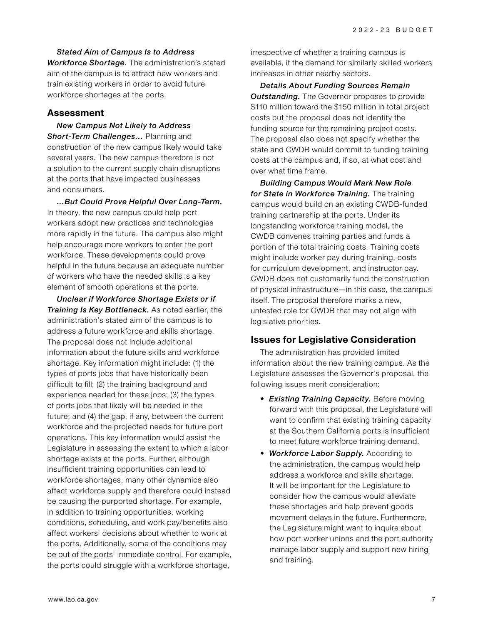*Stated Aim of Campus Is to Address Workforce Shortage.* The administration's stated aim of the campus is to attract new workers and train existing workers in order to avoid future workforce shortages at the ports.

#### **Assessment**

*New Campus Not Likely to Address Short-Term Challenges…* Planning and construction of the new campus likely would take several years. The new campus therefore is not a solution to the current supply chain disruptions at the ports that have impacted businesses and consumers.

*…But Could Prove Helpful Over Long-Term.*  In theory, the new campus could help port workers adopt new practices and technologies more rapidly in the future. The campus also might help encourage more workers to enter the port workforce. These developments could prove helpful in the future because an adequate number of workers who have the needed skills is a key element of smooth operations at the ports.

*Unclear if Workforce Shortage Exists or if Training Is Key Bottleneck.* As noted earlier, the administration's stated aim of the campus is to address a future workforce and skills shortage. The proposal does not include additional information about the future skills and workforce shortage. Key information might include: (1) the types of ports jobs that have historically been difficult to fill; (2) the training background and experience needed for these jobs; (3) the types of ports jobs that likely will be needed in the future; and (4) the gap, if any, between the current workforce and the projected needs for future port operations. This key information would assist the Legislature in assessing the extent to which a labor shortage exists at the ports. Further, although insufficient training opportunities can lead to workforce shortages, many other dynamics also affect workforce supply and therefore could instead be causing the purported shortage. For example, in addition to training opportunities, working conditions, scheduling, and work pay/benefits also affect workers' decisions about whether to work at the ports. Additionally, some of the conditions may be out of the ports' immediate control. For example, the ports could struggle with a workforce shortage,

irrespective of whether a training campus is available, if the demand for similarly skilled workers increases in other nearby sectors.

*Details About Funding Sources Remain Outstanding.* The Governor proposes to provide \$110 million toward the \$150 million in total project costs but the proposal does not identify the funding source for the remaining project costs. The proposal also does not specify whether the state and CWDB would commit to funding training costs at the campus and, if so, at what cost and over what time frame.

*Building Campus Would Mark New Role for State in Workforce Training.* The training campus would build on an existing CWDB-funded training partnership at the ports. Under its longstanding workforce training model, the CWDB convenes training parties and funds a portion of the total training costs. Training costs might include worker pay during training, costs for curriculum development, and instructor pay. CWDB does not customarily fund the construction of physical infrastructure—in this case, the campus itself. The proposal therefore marks a new, untested role for CWDB that may not align with legislative priorities.

### **Issues for Legislative Consideration**

The administration has provided limited information about the new training campus. As the Legislature assesses the Governor's proposal, the following issues merit consideration:

- *Existing Training Capacity.* Before moving forward with this proposal, the Legislature will want to confirm that existing training capacity at the Southern California ports is insufficient to meet future workforce training demand.
- *Workforce Labor Supply.* According to the administration, the campus would help address a workforce and skills shortage. It will be important for the Legislature to consider how the campus would alleviate these shortages and help prevent goods movement delays in the future. Furthermore, the Legislature might want to inquire about how port worker unions and the port authority manage labor supply and support new hiring and training.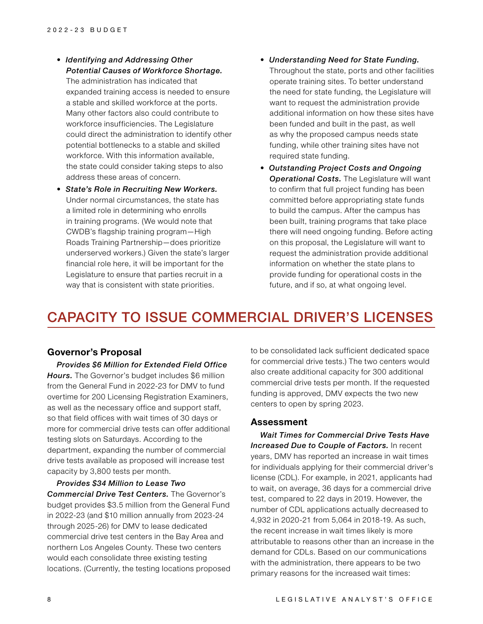- *Identifying and Addressing Other Potential Causes of Workforce Shortage.*  The administration has indicated that expanded training access is needed to ensure a stable and skilled workforce at the ports. Many other factors also could contribute to workforce insufficiencies. The Legislature could direct the administration to identify other potential bottlenecks to a stable and skilled workforce. With this information available, the state could consider taking steps to also address these areas of concern.
- *State's Role in Recruiting New Workers.*  Under normal circumstances, the state has a limited role in determining who enrolls in training programs. (We would note that CWDB's flagship training program—High Roads Training Partnership—does prioritize underserved workers.) Given the state's larger financial role here, it will be important for the Legislature to ensure that parties recruit in a way that is consistent with state priorities.
- *Understanding Need for State Funding.*  Throughout the state, ports and other facilities operate training sites. To better understand the need for state funding, the Legislature will want to request the administration provide additional information on how these sites have been funded and built in the past, as well as why the proposed campus needs state funding, while other training sites have not required state funding.
- *Outstanding Project Costs and Ongoing Operational Costs.* The Legislature will want to confirm that full project funding has been committed before appropriating state funds to build the campus. After the campus has been built, training programs that take place there will need ongoing funding. Before acting on this proposal, the Legislature will want to request the administration provide additional information on whether the state plans to provide funding for operational costs in the future, and if so, at what ongoing level.

## CAPACITY TO ISSUE COMMERCIAL DRIVER'S LICENSES

#### **Governor's Proposal**

*Provides \$6 Million for Extended Field Office Hours.* The Governor's budget includes \$6 million from the General Fund in 2022-23 for DMV to fund overtime for 200 Licensing Registration Examiners, as well as the necessary office and support staff, so that field offices with wait times of 30 days or more for commercial drive tests can offer additional testing slots on Saturdays. According to the department, expanding the number of commercial drive tests available as proposed will increase test capacity by 3,800 tests per month.

*Provides \$34 Million to Lease Two Commercial Drive Test Centers.* The Governor's budget provides \$3.5 million from the General Fund in 2022-23 (and \$10 million annually from 2023-24 through 2025-26) for DMV to lease dedicated commercial drive test centers in the Bay Area and northern Los Angeles County. These two centers would each consolidate three existing testing locations. (Currently, the testing locations proposed to be consolidated lack sufficient dedicated space for commercial drive tests.) The two centers would also create additional capacity for 300 additional commercial drive tests per month. If the requested funding is approved, DMV expects the two new centers to open by spring 2023.

#### **Assessment**

*Wait Times for Commercial Drive Tests Have*  **Increased Due to Couple of Factors.** In recent years, DMV has reported an increase in wait times for individuals applying for their commercial driver's license (CDL). For example, in 2021, applicants had to wait, on average, 36 days for a commercial drive test, compared to 22 days in 2019. However, the number of CDL applications actually decreased to 4,932 in 2020-21 from 5,064 in 2018-19. As such, the recent increase in wait times likely is more attributable to reasons other than an increase in the demand for CDLs. Based on our communications with the administration, there appears to be two primary reasons for the increased wait times: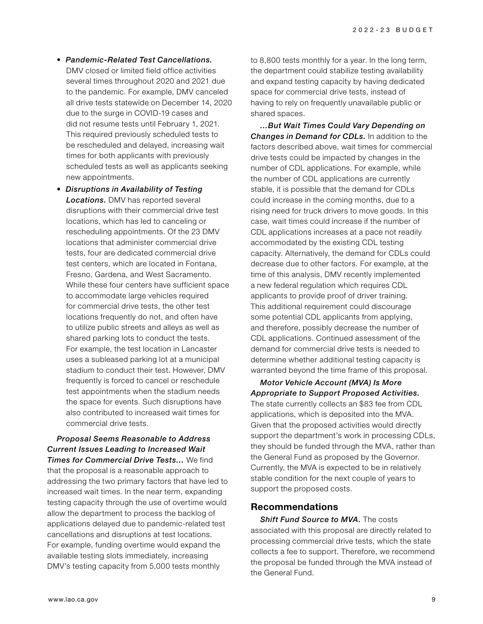- *Pandemic-Related Test Cancellations.*  DMV closed or limited field office activities several times throughout 2020 and 2021 due to the pandemic. For example, DMV canceled all drive tests statewide on December 14, 2020 due to the surge in COVID-19 cases and did not resume tests until February 1, 2021. This required previously scheduled tests to be rescheduled and delayed, increasing wait times for both applicants with previously scheduled tests as well as applicants seeking new appointments.
- *Disruptions in Availability of Testing Locations.* DMV has reported several disruptions with their commercial drive test locations, which has led to canceling or rescheduling appointments. Of the 23 DMV locations that administer commercial drive tests, four are dedicated commercial drive test centers, which are located in Fontana, Fresno, Gardena, and West Sacramento. While these four centers have sufficient space to accommodate large vehicles required for commercial drive tests, the other test locations frequently do not, and often have to utilize public streets and alleys as well as shared parking lots to conduct the tests. For example, the test location in Lancaster uses a subleased parking lot at a municipal stadium to conduct their test. However, DMV frequently is forced to cancel or reschedule test appointments when the stadium needs the space for events. Such disruptions have also contributed to increased wait times for commercial drive tests.

*Proposal Seems Reasonable to Address Current Issues Leading to Increased Wait Times for Commercial Drive Tests…* We find that the proposal is a reasonable approach to addressing the two primary factors that have led to increased wait times. In the near term, expanding testing capacity through the use of overtime would allow the department to process the backlog of applications delayed due to pandemic-related test cancellations and disruptions at test locations. For example, funding overtime would expand the available testing slots immediately, increasing DMV's testing capacity from 5,000 tests monthly

to 8,800 tests monthly for a year. In the long term, the department could stabilize testing availability and expand testing capacity by having dedicated space for commercial drive tests, instead of having to rely on frequently unavailable public or shared spaces.

*…But Wait Times Could Vary Depending on Changes in Demand for CDLs.* In addition to the factors described above, wait times for commercial drive tests could be impacted by changes in the number of CDL applications. For example, while the number of CDL applications are currently stable, it is possible that the demand for CDLs could increase in the coming months, due to a rising need for truck drivers to move goods. In this case, wait times could increase if the number of CDL applications increases at a pace not readily accommodated by the existing CDL testing capacity. Alternatively, the demand for CDLs could decrease due to other factors. For example, at the time of this analysis, DMV recently implemented a new federal regulation which requires CDL applicants to provide proof of driver training. This additional requirement could discourage some potential CDL applicants from applying, and therefore, possibly decrease the number of CDL applications. Continued assessment of the demand for commercial drive tests is needed to determine whether additional testing capacity is warranted beyond the time frame of this proposal.

*Motor Vehicle Account (MVA) Is More Appropriate to Support Proposed Activities.*  The state currently collects an \$83 fee from CDL applications, which is deposited into the MVA. Given that the proposed activities would directly support the department's work in processing CDLs, they should be funded through the MVA, rather than the General Fund as proposed by the Governor. Currently, the MVA is expected to be in relatively stable condition for the next couple of years to support the proposed costs.

#### **Recommendations**

*Shift Fund Source to MVA.* The costs associated with this proposal are directly related to processing commercial drive tests, which the state collects a fee to support. Therefore, we recommend the proposal be funded through the MVA instead of the General Fund.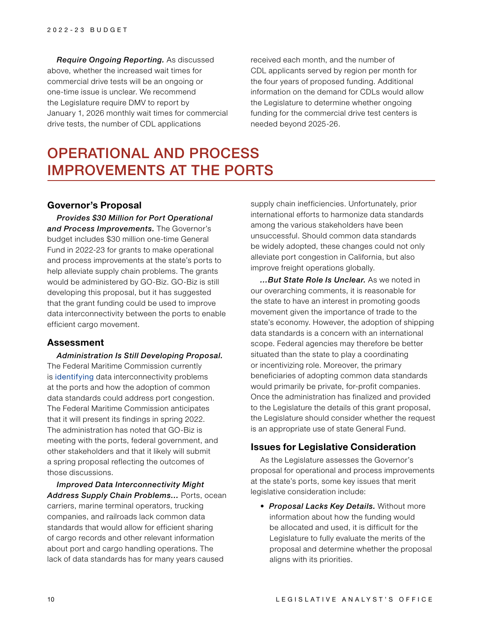*Require Ongoing Reporting.* As discussed above, whether the increased wait times for commercial drive tests will be an ongoing or one-time issue is unclear. We recommend the Legislature require DMV to report by January 1, 2026 monthly wait times for commercial drive tests, the number of CDL applications

received each month, and the number of CDL applicants served by region per month for the four years of proposed funding. Additional information on the demand for CDLs would allow the Legislature to determine whether ongoing funding for the commercial drive test centers is needed beyond 2025-26.

# OPERATIONAL AND PROCESS IMPROVEMENTS AT THE PORTS

### **Governor's Proposal**

*Provides \$30 Million for Port Operational and Process Improvements.* The Governor's budget includes \$30 million one-time General Fund in 2022-23 for grants to make operational and process improvements at the state's ports to help alleviate supply chain problems. The grants would be administered by GO-Biz. GO-Biz is still developing this proposal, but it has suggested that the grant funding could be used to improve data interconnectivity between the ports to enable efficient cargo movement.

#### **Assessment**

*Administration Is Still Developing Proposal.* The Federal Maritime Commission currently is [identifying](https://www.fmc.gov/fmc-effort-will-examine-how-data-can-improve-ocean-cargo-velocity/) data interconnectivity problems at the ports and how the adoption of common data standards could address port congestion. The Federal Maritime Commission anticipates that it will present its findings in spring 2022. The administration has noted that GO-Biz is meeting with the ports, federal government, and other stakeholders and that it likely will submit a spring proposal reflecting the outcomes of those discussions.

*Improved Data Interconnectivity Might Address Supply Chain Problems…* Ports, ocean carriers, marine terminal operators, trucking companies, and railroads lack common data standards that would allow for efficient sharing of cargo records and other relevant information about port and cargo handling operations. The lack of data standards has for many years caused

supply chain inefficiencies. Unfortunately, prior international efforts to harmonize data standards among the various stakeholders have been unsuccessful. Should common data standards be widely adopted, these changes could not only alleviate port congestion in California, but also improve freight operations globally.

*…But State Role Is Unclear.* As we noted in our overarching comments, it is reasonable for the state to have an interest in promoting goods movement given the importance of trade to the state's economy. However, the adoption of shipping data standards is a concern with an international scope. Federal agencies may therefore be better situated than the state to play a coordinating or incentivizing role. Moreover, the primary beneficiaries of adopting common data standards would primarily be private, for-profit companies. Once the administration has finalized and provided to the Legislature the details of this grant proposal, the Legislature should consider whether the request is an appropriate use of state General Fund.

#### **Issues for Legislative Consideration**

As the Legislature assesses the Governor's proposal for operational and process improvements at the state's ports, some key issues that merit legislative consideration include:

• *Proposal Lacks Key Details.* Without more information about how the funding would be allocated and used, it is difficult for the Legislature to fully evaluate the merits of the proposal and determine whether the proposal aligns with its priorities.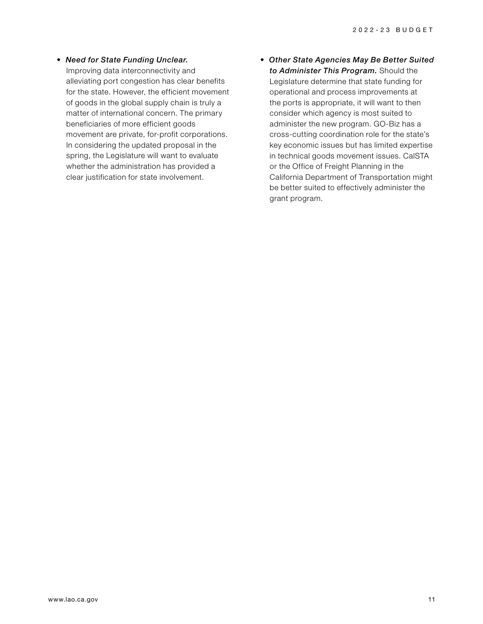- *Need for State Funding Unclear.*  Improving data interconnectivity and alleviating port congestion has clear benefits for the state. However, the efficient movement of goods in the global supply chain is truly a matter of international concern. The primary beneficiaries of more efficient goods movement are private, for-profit corporations. In considering the updated proposal in the spring, the Legislature will want to evaluate whether the administration has provided a clear justification for state involvement.
- *Other State Agencies May Be Better Suited to Administer This Program.* Should the Legislature determine that state funding for operational and process improvements at the ports is appropriate, it will want to then consider which agency is most suited to administer the new program. GO-Biz has a cross-cutting coordination role for the state's key economic issues but has limited expertise in technical goods movement issues. CalSTA or the Office of Freight Planning in the California Department of Transportation might be better suited to effectively administer the grant program.